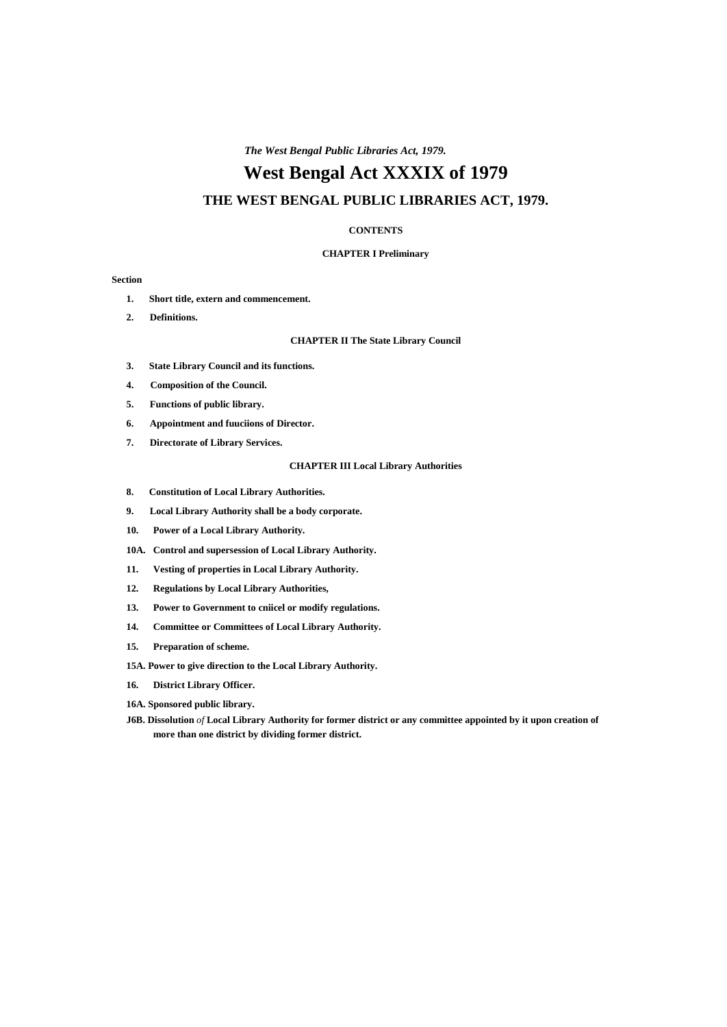# **West Bengal Act XXXIX of 1979**

# **THE WEST BENGAL PUBLIC LIBRARIES ACT, 1979.**

### **CONTENTS**

# **CHAPTER I Preliminary**

### **Section**

- **1. Short title, extern and commencement.**
- **2. Definitions.**

# **CHAPTER II The State Library Council**

- **3. State Library Council and its functions.**
- **4. Composition of the Council.**
- **5. Functions of public library.**
- **6. Appointment and fuuciions of Director.**
- **7. Directorate of Library Services.**

### **CHAPTER III Local Library Authorities**

- **8. Constitution of Local Library Authorities.**
- **9. Local Library Authority shall be a body corporate.**
- **10. Power of a Local Library Authority.**
- **10A. Control and supersession of Local Library Authority.**
- **11. Vesting of properties in Local Library Authority.**
- **12. Regulations by Local Library Authorities,**
- **13. Power to Government to cniicel or modify regulations.**
- **14. Committee or Committees of Local Library Authority.**
- **15. Preparation of scheme.**
- **15A. Power to give direction to the Local Library Authority.**
- **16. District Library Officer.**
- **16A. Sponsored public library.**
- **J6B. Dissolution** *of* **Local Library Authority for former district or any committee appointed by it upon creation of more than one district by dividing former district.**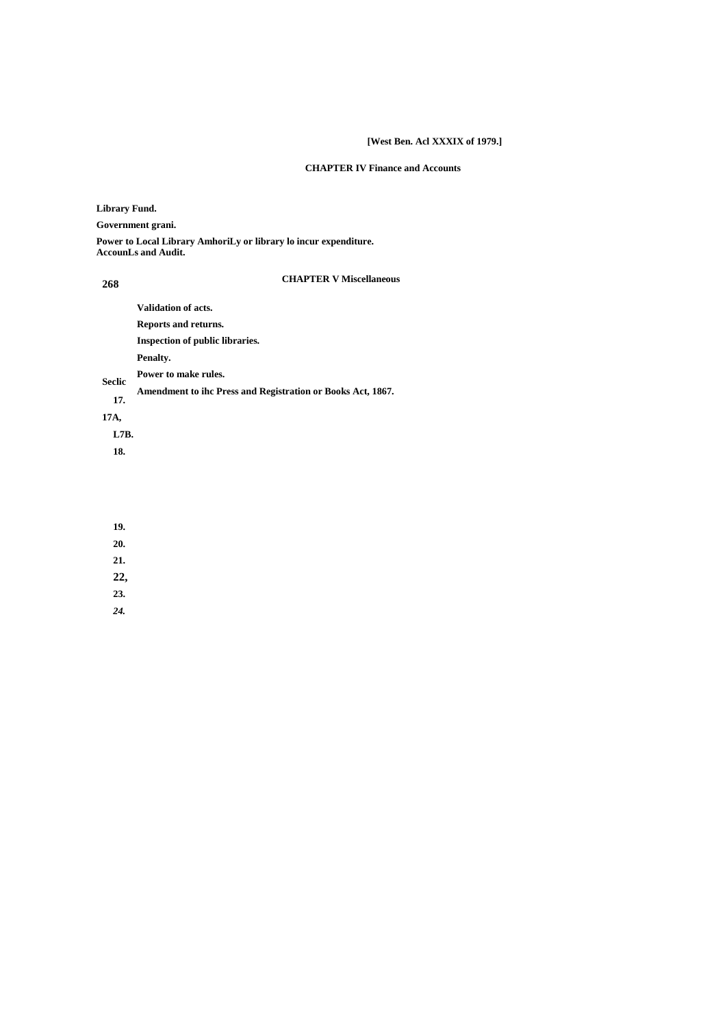# **[West Ben. Acl XXXIX of 1979.]**

# **CHAPTER IV Finance and Accounts**

**Library Fund.**

**Government grani.**

**Power to Local Library AmhoriLy or library lo incur expenditure. AccounLs and Audit.**

## **268**

# **CHAPTER V Miscellaneous**

**Validation of acts.**

**Reports and returns.**

**Inspection of public libraries.**

**Penalty.**

**Power to make rules. Seclic**

**Amendment to ihc Press and Registration or Books Act, 1867. 17.**

**17A,**

**L7B.**

**18.**

**19.**

**20.**

**21.**

**22,**

**23.**

*24.*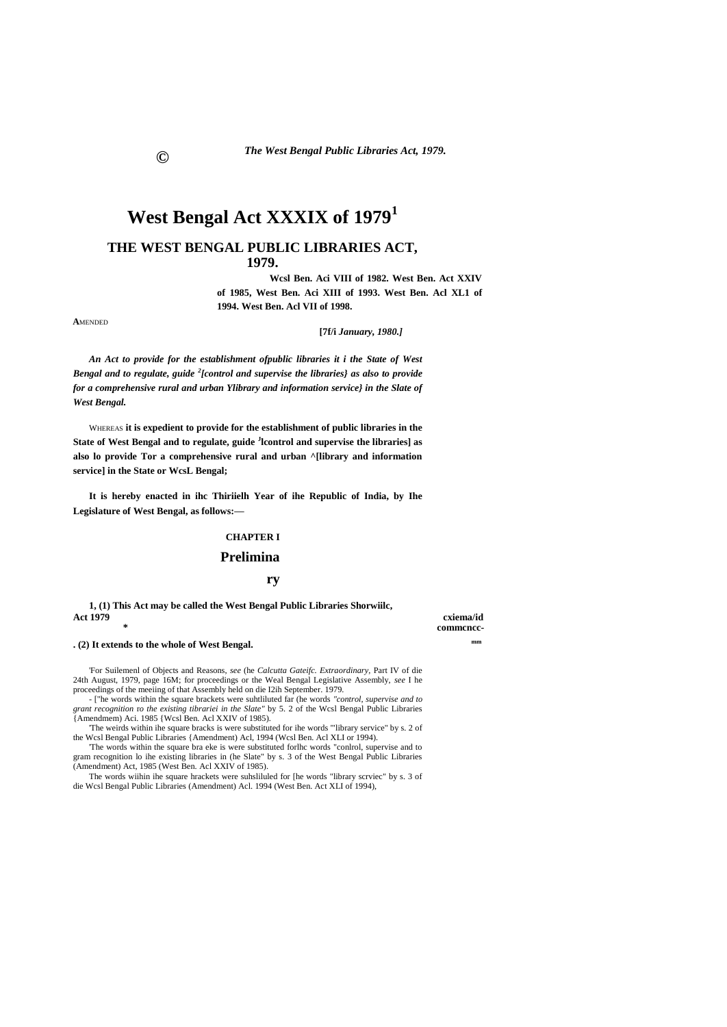# **West Bengal Act XXXIX of 1979<sup>1</sup>**

# **THE WEST BENGAL PUBLIC LIBRARIES ACT, 1979.**

**Wcsl Ben. Aci VIII of 1982. West Ben. Act XXIV of 1985, West Ben. Aci XIII of 1993. West Ben. Acl XL1 of 1994. West Ben. Acl VII of 1998.**

**A**MENDED

### **[7f/i** *January, 1980.]*

*An Act to provide for the establishment ofpublic libraries it i the State of West Bengal and to regulate, guide <sup>2</sup> [control and supervise the libraries} as also to provide for a comprehensive rural and urban Ylibrary and information service} in the Slate of West Bengal.*

WHEREAS **it is expedient to provide for the establishment of public libraries in the State of West Bengal and to regulate, guide <sup>J</sup> lcontrol and supervise the libraries] as also lo provide Tor a comprehensive rural and urban ^[library and information service] in the State or WcsL Bengal;**

**It is hereby enacted in ihc Thiriielh Year of ihe Republic of India, by Ihe Legislature of West Bengal, as follows:—**

## **CHAPTER I**

# **Prelimina**

### **ry**

**1, (1) This Act may be called the West Bengal Public Libraries Shorwiilc, Act 1979 cxiema/id**

**\* commcncc-**

**. (2) It extends to the whole of West Bengal. mm**

'For Suilemenl of Objects and Reasons, *see* (he *Calcutta Gateifc. Extraordinary,* Part IV of die 24th August, 1979, page 16M; for proceedings or the Weal Bengal Legislative Assembly, *see* I he proceedings of the meeiing of that Assembly held on die I2ih September. 1979.

- ["he words within the square brackets were suhtliluted far (he words *"control, supervise and to grant recognition* r*o the existing tibrariei in the Slate"* by 5. 2 of the Wcsl Bengal Public Libraries {Amendmem) Aci. 1985 {Wcsl Ben. Acl XXIV of 1985).

'The weirds within ihe square bracks is were substituted for ihe words '"library service" by s. 2 of the Wcsl Bengal Public Libraries {Amendment) Acl, 1994 (Wcsl Ben. Acl XLI or 1994).

'The words within the square bra eke is were substituted forlhc words "conlrol, supervise and to gram recognition lo ihe existing libraries in (he Slate" by s. 3 of the West Bengal Public Libraries (Amendment) Act, 1985 (West Ben. Acl XXIV of 1985).

The words wiihin ihe square hrackets were suhsliluled for [he words "library scrviec" by s. 3 of die Wcsl Bengal Public Libraries (Amendment) Acl. 1994 (West Ben. Act XLI of 1994),

**©**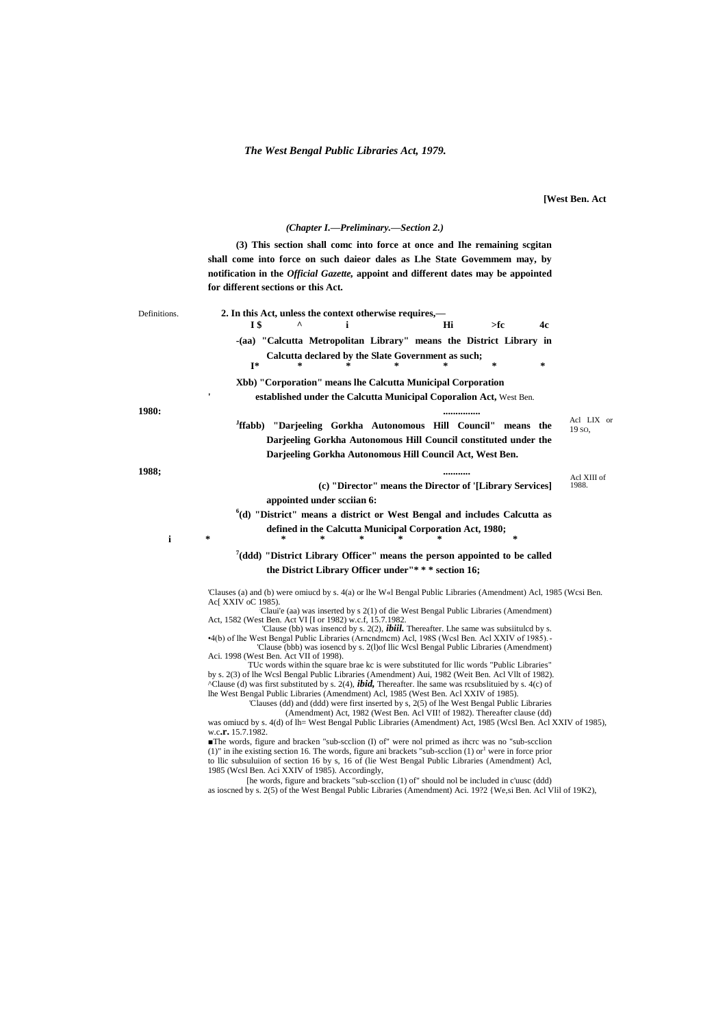**[West Ben. Act** 

(Chapter I.-Preliminary.-Section 2.)

(3) This section shall come into force at once and Ihe remaining segitan shall come into force on such daieor dales as Lhe State Governmem may, by notification in the Official Gazette, appoint and different dates may be appointed for different sections or this Act. 2. In this Act, unless the context otherwise requires,-Definitions. **IS**  $\boldsymbol{\wedge}$  $\mathbf{i}$ Hi  $>$ fc  $4<sub>c</sub>$ -(aa) "Calcutta Metropolitan Library" means the District Library in Calcutta declared by the Slate Government as such;  $\mathbf{I}^*$  $\ast$  $\sim$ Xbb) "Corporation" means lhe Calcutta Municipal Corporation established under the Calcutta Municipal Coporalion Act, West Ben. 1980: . . . . . . . . . . . . . . . . Acl LIX or <sup>J</sup>ffabb) "Darjeeling Gorkha Autonomous Hill Council" means the  $19.50$ Darjeeling Gorkha Autonomous Hill Council constituted under the Darjeeling Gorkha Autonomous Hill Council Act, West Ben. 1988; .......... Acl XIII of (c) "Director" means the Director of '[Library Services] 1988 appointed under scciian 6:  $^{6}$ (d) "District" means a district or West Bengal and includes Calcutta as defined in the Calcutta Municipal Corporation Act, 1980;  $\mathbf{i}$  $7$ (ddd) "District Library Officer" means the person appointed to be called the District Library Officer under"\*\*\* section 16; 'Clauses (a) and (b) were omiucd by s. 4(a) or lhe W«l Bengal Public Libraries (Amendment) Acl, 1985 (Wcsi Ben. Ac[ XXIV oC 1985). Claui'e (aa) was inserted by s 2(1) of die West Bengal Public Libraries (Amendment) Act, 1582 (West Ben. Act VI [I or 1982) w.c.f, 15.7.1982 'Clause (bb) was insencd by s. 2(2), *ibiil*. Thereafter. Lhe same was subsiituled by s. 4(b) of lhe West Bengal Public Libraries (Arnendmem) Acl, 1988 (West Ben. Acl XXIV of 1985).<br>Clause (bbb) was iosencd by s. 2(l) of lic West Bengal Public Libraries (Arnendmem) Aci. 1998 (West Ben. Act VII of 1998). TUC words within the square brae kc is were substituted for Ilic words "Public Libraries"<br>by s. 2(3) of lhe Wcsl Bengal Public Libraries (Amendment) Aui, 1982 (Weit Ben. Acl Vllt of 1982). ^Clause (d) was first substituted by s. 2(4), *ibid*, Thereafter. lhe same was resubslituied by s. 4(c) of lhe West Bengal Public Libraries (Amendment) Acl, 1985 (West Ben. Acl XXIV of 1985) 'Clauses (dd) and (ddd) were first inserted by s, 2(5) of lhe West Bengal Public Libraries (Amendment) Act, 1982 (West Ben. Acl VII! of 1982). Thereafter clause (dd) was omiucd by s. 4(d) of lh= West Bengal Public Libraries (Amendment) Act, 1985 (Wcsl Ben. Acl XXIV of 1985), w.c.r. 15.7.1982. The words, figure and bracken "sub-scclion (I) of" were not primed as ihcrc was no "sub-scclion" (1)" in the existing section 16. The words, figure ani brackets "sub-section (1) or were in force prior to Ilic subsulution of section 16 by s, 16 of (lie West Bengal Public Libraries (Amendment) Acl, 1985 (Wesl Ben. Aci XXIV of 1985). Accordingly,

[he words, figure and brackets "sub-scclion (1) of" should nol be included in c'uusc (ddd) as ioscned by s. 2(5) of the West Bengal Public Libraries (Amendment) Aci. 19?2 {We,si Ben. Acl Vlil of 19K2),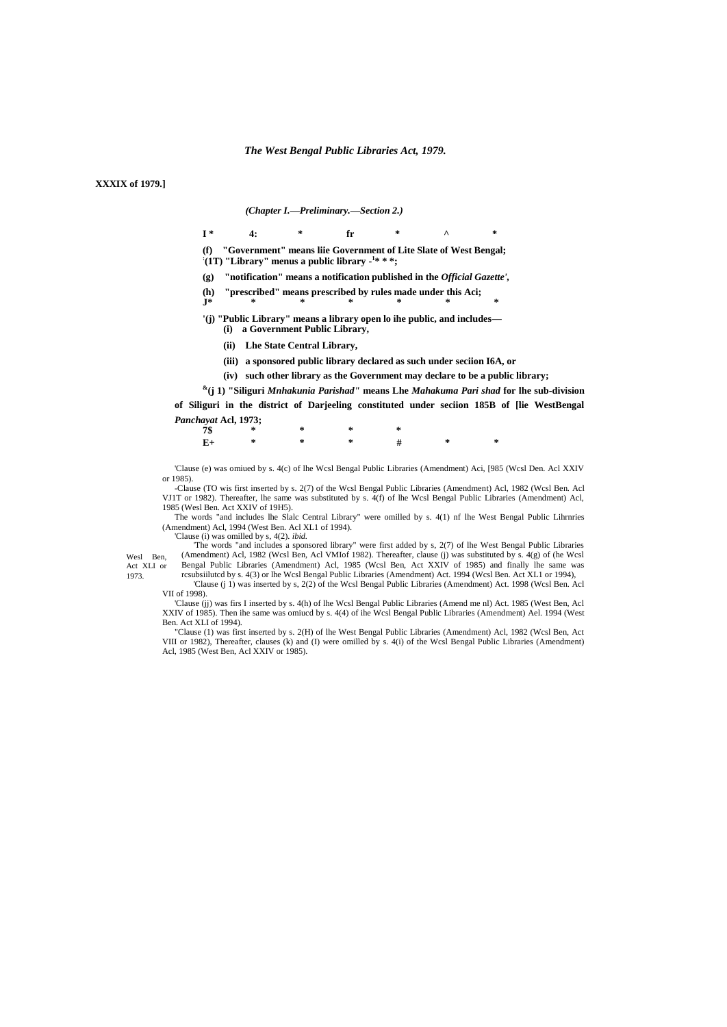**XXXIX of 1979.1** 

1973.

(Chapter I.-Preliminary.-Section 2.)

- $I^*$  $4:$ fr
- (f) "Government" means liie Government of Lite Slate of West Bengal:  $\cdot$  (1T) "Library" menus a public library -<sup>1\*</sup> \* \*;
- (g) "notification" means a notification published in the *Official Gazette'*,
- "prescribed" means prescribed by rules made under this Aci;  $(h)$
- '(j) "Public Library" means a library open lo ihe public, and includes-(i) a Government Public Library,
	- (ii) Lhe State Central Library,
	- (iii) a sponsored public library declared as such under seciion I6A, or
	- (iv) such other library as the Government may declare to be a public library;
- $*(j 1)$  "Siliguri Mnhakunia Parishad" means Lhe Mahakuma Pari shad for lhe sub-division

of Siliguri in the district of Darjeeling constituted under seciion 185B of [lie WestBengal Panchayat Acl, 1973;

|  | 7\$ * * * * * |  |                  |  |
|--|---------------|--|------------------|--|
|  |               |  | $E+$ * * * # * * |  |

'Clause (e) was omiued by s. 4(c) of lhe Wcsl Bengal Public Libraries (Amendment) Aci, [985 (Wcsl Den. Acl XXIV or 1985).

-Clause (TO wis first inserted by s. 2(7) of the Wcsl Bengal Public Libraries (Amendment) Acl, 1982 (Wcsl Ben. Acl VJ1T or 1982). Thereafter, lhe same was substituted by s. 4(f) of lhe Wcsl Bengal Public Libraries (Amendment) Acl, 1985 (Wesl Ben. Act XXIV of 19H5).

The words "and includes lhe Slalc Central Library" were omilled by s. 4(1) nf lhe West Bengal Public Lihrnries (Amendment) Acl, 1994 (West Ben. Acl XL1 of 1994).

Clause (i) was omilled by s, 4(2). *ibid.*<br>The words "and includes a sponsored library" were first added by s, 2(7) of lhe West Bengal Public Libraries<br>(Amendment) Acl, 1982 (Wcsl Ben, Acl VMIof 1982). Thereafter, clause ( Wesl Ben. Bengal Public Libraries (Amendment) Acl, 1985 (Wcsl Ben, Act XXIV of 1985) and finally lie same was Act XLI or rcsubsiiluted by s. 4(3) or lhe Wesl Bengal Public Libraries (Amendment) Act. 1994 (Wesl Ben. Act XL1 or 1994),

'Clause (j 1) was inserted by s, 2(2) of the Wcsl Bengal Public Libraries (Amendment) Act. 1998 (Wcsl Ben. Acl VII of 1998).

Clause (jj) was firs I inserted by s. 4(h) of lhe Wcsl Bengal Public Libraries (Amend me nl) Act. 1985 (West Ben, Acl XXIV of 1985). Then ihe same was omiucd by s. 4(4) of ihe Wcsl Bengal Public Libraries (Amendment) Ael. Ben. Act XLI of 1994).

"Clause (1) was first inserted by s. 2(H) of lhe West Bengal Public Libraries (Amendment) Acl, 1982 (Wcsl Ben, Act VIII or 1982), Thereafter, clauses (k) and (I) were omilled by s. 4(i) of the West Bengal Public Libraries (Amendment)<br>Acl, 1985 (West Ben, Acl XXIV or 1985).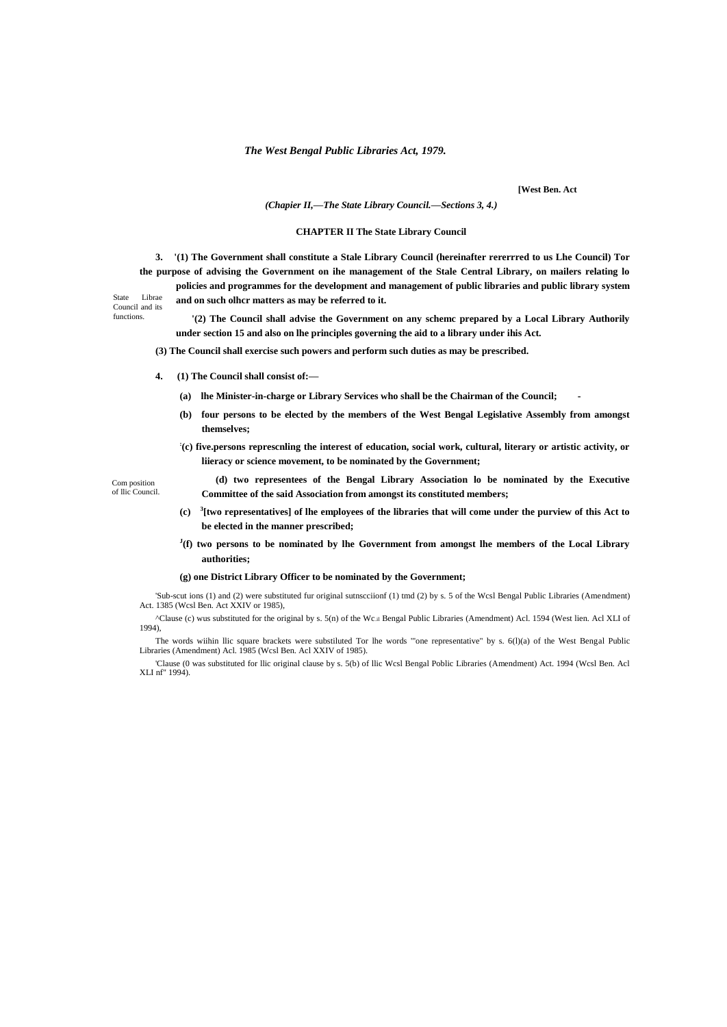**[West Ben. Act**

*(Chapier II,—The State Library Council.—Sections 3, 4.)*

### **CHAPTER II The State Library Council**

**3. '(1) The Government shall constitute a Stale Library Council (hereinafter rererrred to us Lhe Council) Tor the purpose of advising the Government on ihe management of the Stale Central Library, on mailers relating lo** 

**policies and programmes for the development and management of public libraries and public library system and on such olhcr matters as may be referred to it.**

State Librae Council and its functions.

**'(2) The Council shall advise the Government on any schemc prepared by a Local Library Authorily under section 15 and also on lhe principles governing the aid to a library under ihis Act.**

**(3) The Council shall exercise such powers and perform such duties as may be prescribed.**

- **4. (1) The Council shall consist of:—**
	- **(a) lhe Minister-in-charge or Library Services who shall be the Chairman of the Council; -**
	- **(b) four persons to be elected by the members of the West Bengal Legislative Assembly from amongst themselves;**
	- **: (c) five.persons represcnling the interest of education, social work, cultural, literary or artistic activity, or liieracy or science movement, to be nominated by the Government;**

Com position of llic Council.

- **(d) two representees of the Bengal Library Association lo be nominated by the Executive Committee of the said Association from amongst its constituted members;**
- **(c) <sup>3</sup> [two representatives] of lhe employees of the libraries that will come under the purview of this Act to be elected in the manner prescribed;**
- **J (f) two persons to be nominated by lhe Government from amongst lhe members of the Local Library authorities;**

#### **(g) one District Library Officer to be nominated by the Government;**

'Sub-scut ions (1) and (2) were substituted fur original sutnscciionf (1) tmd (2) by s. 5 of the Wcsl Bengal Public Libraries (Amendment) Act. 1385 (Wcsl Ben. Act XXIV or 1985),

^Clause (c) wus substituted for the original by s. 5(n) of the Wc.il Bengal Public Libraries (Amendment) Acl. 1594 (West lien. Acl XLI of 1994),

The words wiihin llic square brackets were substiluted Tor lhe words '"one representative" by s. 6(l)(a) of the West Bengal Public Libraries (Amendment) Acl. 1985 (Wcsl Ben. Acl XXIV of 1985).

'Clause (0 was substituted for llic original clause by s. 5(b) of llic Wcsl Bengal Poblic Libraries (Amendment) Act. 1994 (Wcsl Ben. Acl XLI nf" 1994).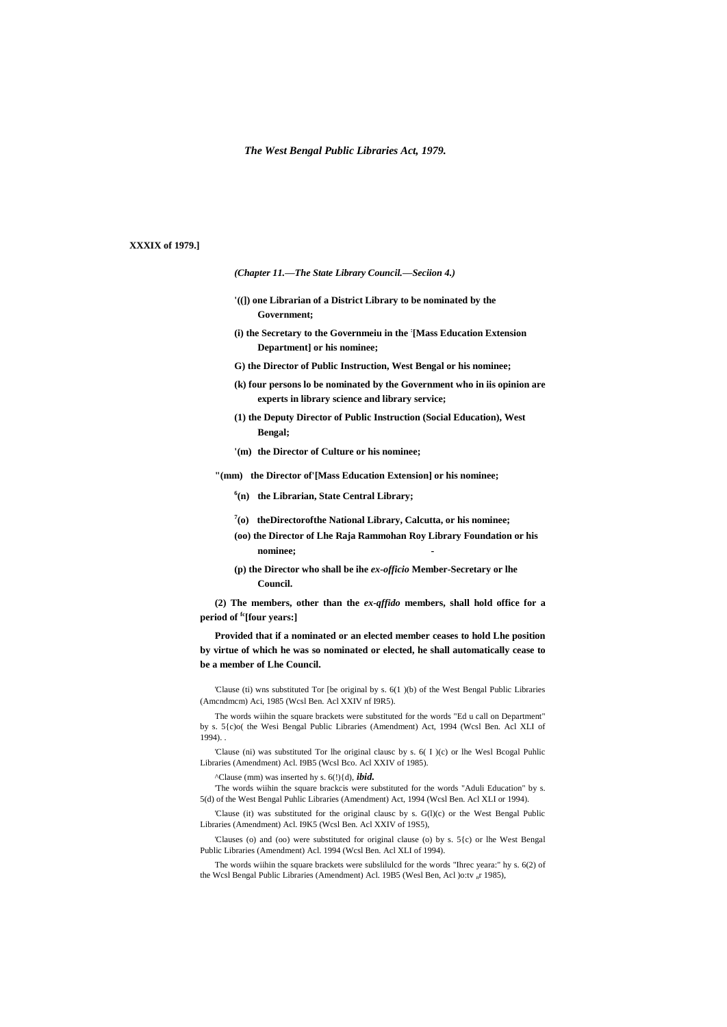# **XXXIX of 1979.]**

*(Chapter 11.—The State Library Council.—Seciion 4.)*

- **'((]) one Librarian of a District Library to be nominated by the Government;**
- **(i) the Secretary to the Governmeiu in the : [Mass Education Extension Department] or his nominee;**
- **G) the Director of Public Instruction, West Bengal or his nominee;**
- **(k) four persons lo be nominated by the Government who in iis opinion are experts in library science and library service;**
- **(1) the Deputy Director of Public Instruction (Social Education), West Bengal;**
- **'(m) the Director of Culture or his nominee;**

**"(mm) the Director of'[Mass Education Extension] or his nominee;**

- **6 (n) the Librarian, State Central Library;**
- **7 (o) theDirectorofthe National Library, Calcutta, or his nominee;**
- **(oo) the Director of Lhe Raja Rammohan Roy Library Foundation or his nominee; -**
- **(p) the Director who shall be ihe** *ex-officio* **Member-Secretary or lhe Council.**

**(2) The members, other than the** *ex-qffido* **members, shall hold office for a period of fc[four years:]**

**Provided that if a nominated or an elected member ceases to hold Lhe position by virtue of which he was so nominated or elected, he shall automatically cease to be a member of Lhe Council.**

'Clause (ti) wns substituted Tor [be original by s. 6(1 )(b) of the West Bengal Public Libraries (Amcndmcm) Aci, 1985 (Wcsl Ben. Acl XXIV nf I9R5).

The words wiihin the square brackets were substituted for the words "Ed u call on Department" by s. 5{c)o( the Wesi Bengal Public Libraries (Amendment) Act, 1994 (Wcsl Ben. Acl XLI of 1994).

'Clause (ni) was substituted Tor lhe original clausc by s. 6( I )(c) or lhe Wesl Bcogal Puhlic Libraries (Amendment) Acl. I9B5 (Wcsl Bco. Acl XXIV of 1985).

^Clause (mm) was inserted hy s. 6(!){d), *ibid.*

'The words wiihin the square brackcis were substituted for the words "Aduli Education" by s. 5(d) of the West Bengal Puhlic Libraries (Amendment) Act, 1994 (Wcsl Ben. Acl XLI or 1994).

'Clause (it) was substituted for the original clausc by s. G(l)(c) or the West Bengal Public Libraries (Amendment) Acl. I9K5 (Wcsl Ben. Acl XXIV of 19S5),

'Clauses (o) and (oo) were substituted for original clause (o) by s. 5{c) or lhe West Bengal Public Libraries (Amendment) Acl. 1994 (Wcsl Ben. Acl XLI of 1994).

The words wiihin the square brackets were subslilulcd for the words "Ihrec yeara:" hy s. 6(2) of the Wcsl Bengal Public Libraries (Amendment) Acl. 19B5 (Wesl Ben, Acl )o:tv <sub>n</sub>r 1985),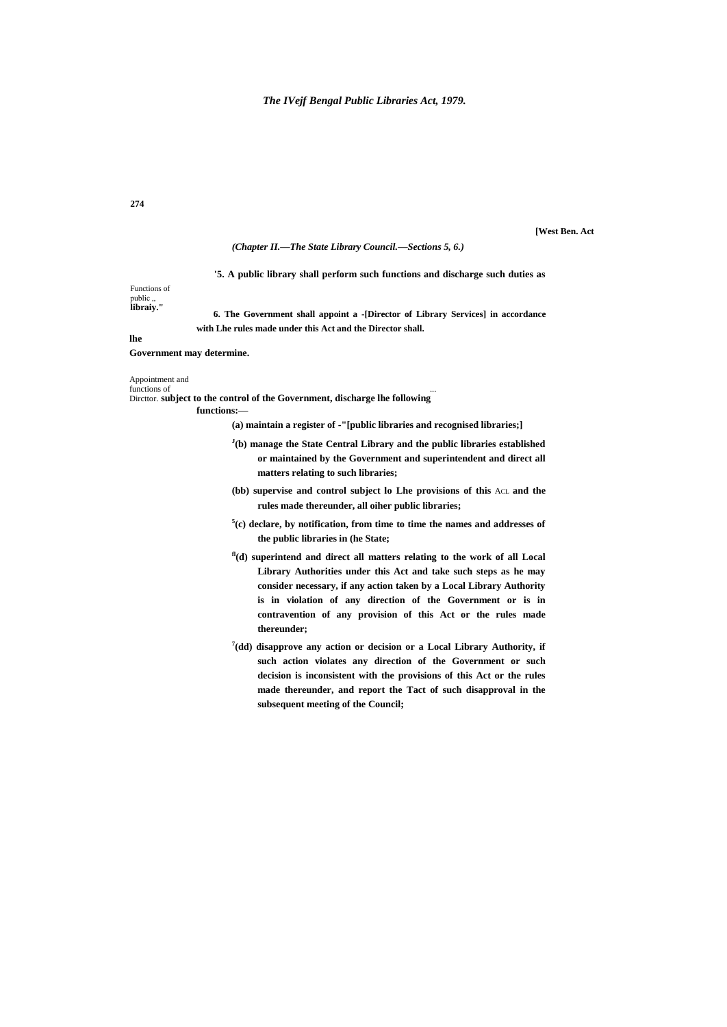## **274**

### **[West Ben. Act**

### *(Chapter II.—The State Library Council.—Sections 5, 6.)*

## **'5. A public library shall perform such functions and discharge such duties as**

# Functions of public "<br>**libraiy.''**

**6. The Government shall appoint a -[Director of Library Services] in accordance with Lhe rules made under this Act and the Director shall.**

### **lhe**

## **Government may determine.**

# Appointment and

functions of ... Dircttor. **subject to the control of the Government, discharge lhe following**

### **functions:—**

**(a) maintain a register of -"[public libraries and recognised libraries;]**

- **J (b) manage the State Central Library and the public libraries established or maintained by the Government and superintendent and direct all matters relating to such libraries;**
- **(bb) supervise and control subject lo Lhe provisions of this** ACL **and the rules made thereunder, all oiher public libraries;**
- **5 (c) declare, by notification, from time to time the names and addresses of the public libraries in (he State;**
- **fl(d) superintend and direct all matters relating to the work of all Local Library Authorities under this Act and take such steps as he may consider necessary, if any action taken by a Local Library Authority is in violation of any direction of the Government or is in contravention of any provision of this Act or the rules made thereunder;**
- **7 (dd) disapprove any action or decision or a Local Library Authority, if such action violates any direction of the Government or such decision is inconsistent with the provisions of this Act or the rules made thereunder, and report the Tact of such disapproval in the subsequent meeting of the Council;**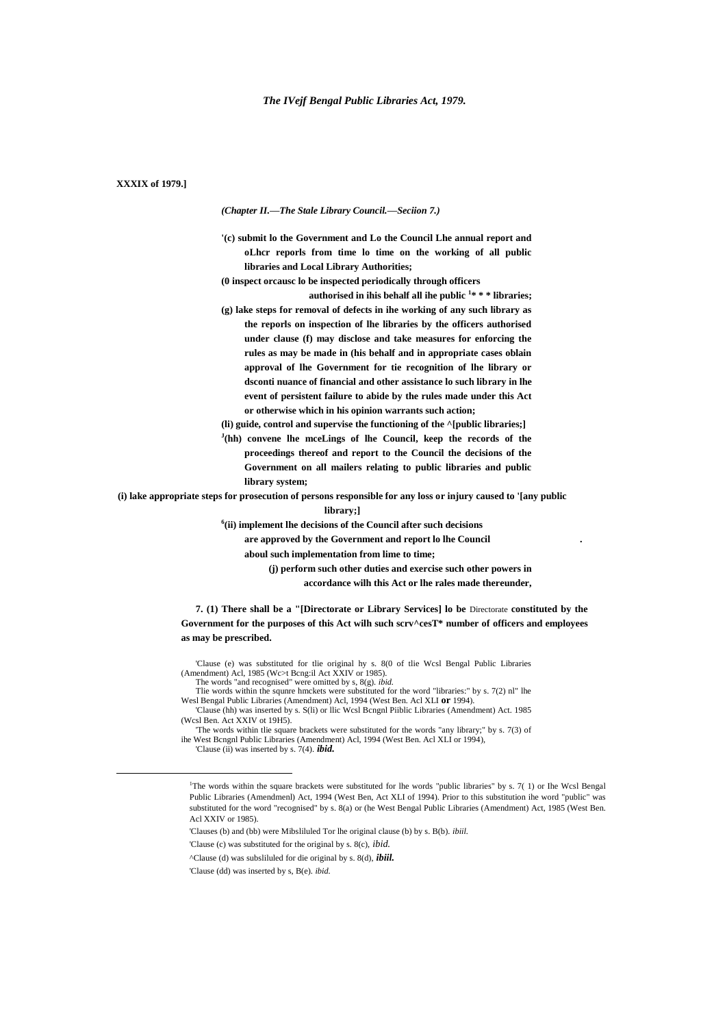# **XXXIX of 1979.]**

*(Chapter II.—The Stale Library Council.—Seciion 7.)*

**'(c) submit lo the Government and Lo the Council Lhe annual report and oLhcr reporls from time lo time on the working of all public libraries and Local Library Authorities;**

**(0 inspect orcausc lo be inspected periodically through officers**

**authorised in ihis behalf all ihe public <sup>1</sup> \* \* \* libraries; (g) lake steps for removal of defects in ihe working of any such library as the reporls on inspection of lhe libraries by the officers authorised under clause (f) may disclose and take measures for enforcing the rules as may be made in (his behalf and in appropriate cases oblain approval of lhe Government for tie recognition of lhe library or dsconti nuance of financial and other assistance lo such library in lhe event of persistent failure to abide by the rules made under this Act or otherwise which in his opinion warrants such action;**

**(li) guide, control and supervise the functioning of the ^[public libraries;]**

**J (hh) convene lhe mceLings of lhe Council, keep the records of the proceedings thereof and report to the Council the decisions of the Government on all mailers relating to public libraries and public library system;**

**(i) lake appropriate steps for prosecution of persons responsible for any loss or injury caused to '[any public** 

**library;]**

**6 (ii) implement lhe decisions of the Council after such decisions**

**are approved by the Government and report lo lhe Council .**

**aboul such implementation from lime to time;**

**(j) perform such other duties and exercise such other powers in accordance wilh this Act or lhe rales made thereunder,**

**7. (1) There shall be a "[Directorate or Library Services] lo be** Directorate **constituted by the Government for the purposes of this Act wilh such scrv^cesT\* number of officers and employees as may be prescribed.**

'Clause (e) was substituted for tlie original hy s. 8(0 of tlie Wcsl Bengal Public Libraries (Amendment) Acl, 1985 (Wc>t Bcng:il Act XXIV or 1985). The words "and recognised" were omitted by s, 8(g). *ibid.*

Tlie words within the squnre hmckets were substituted for the word "libraries:" by s. 7(2) nl" lhe Wesl Bengal Public Libraries (Amendment) Acl, 1994 (West Ben. Acl XLI **or** 1994).

'Clause (hh) was inserted by s. S(li) or llic Wcsl Bcngnl Piiblic Libraries (Amendment) Act. 1985 (Wcsl Ben. Act XXIV ot 19H5).

'Clause (ii) was inserted by s. 7(4). *ibid.*

 $\overline{a}$ 

<sup>&#</sup>x27;The words within tlie square brackets were substituted for the words "any library;" by s. 7(3) of ihe West Bcngnl Public Libraries (Amendment) Acl, 1994 (West Ben. Acl XLI or 1994),

<sup>&</sup>lt;sup>1</sup>The words within the square brackets were substituted for lhe words "public libraries" by s. 7(1) or Ihe Wcsl Bengal Public Libraries (Amendmenl) Act, 1994 (West Ben, Act XLI of 1994). Prior to this substitution ihe word "public" was substituted for the word "recognised" by s. 8(a) or (he West Bengal Public Libraries (Amendment) Act, 1985 (West Ben. Acl XXIV or 1985).

<sup>&#</sup>x27;Clauses (b) and (bb) were Mibsliluled Tor lhe original clause (b) by s. B(b). *ibiil.*

<sup>&#</sup>x27;Clause (c) was substituted for the original by s. 8(c), *ibid.*

<sup>^</sup>Clause (d) was subsliluled for die original by s. 8(d), *ibiil.*

<sup>&#</sup>x27;Clause (dd) was inserted by s, B(e). *ibid.*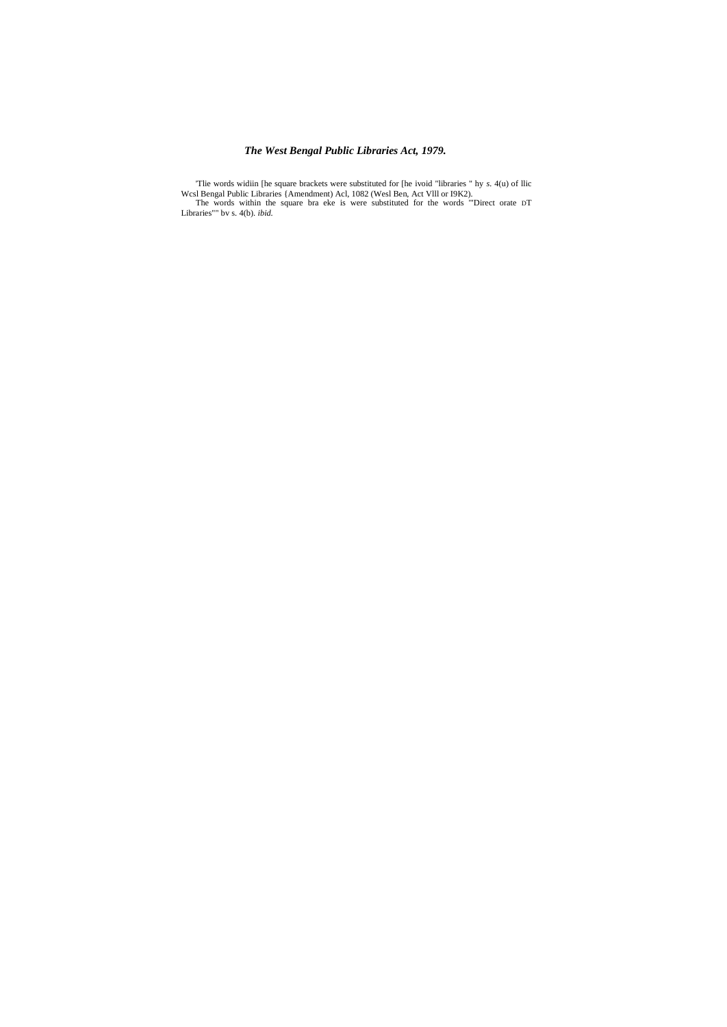The words widtin [he square brackets were substituted for [he ivoid "libraries" hy  $s$ .  $4(u)$  of Ilic Wesl Bengal Public Libraries {Amendment) Acl, 1082 (Wesl Ben, Act VIII or I9K2).<br>The words within the square bra eke is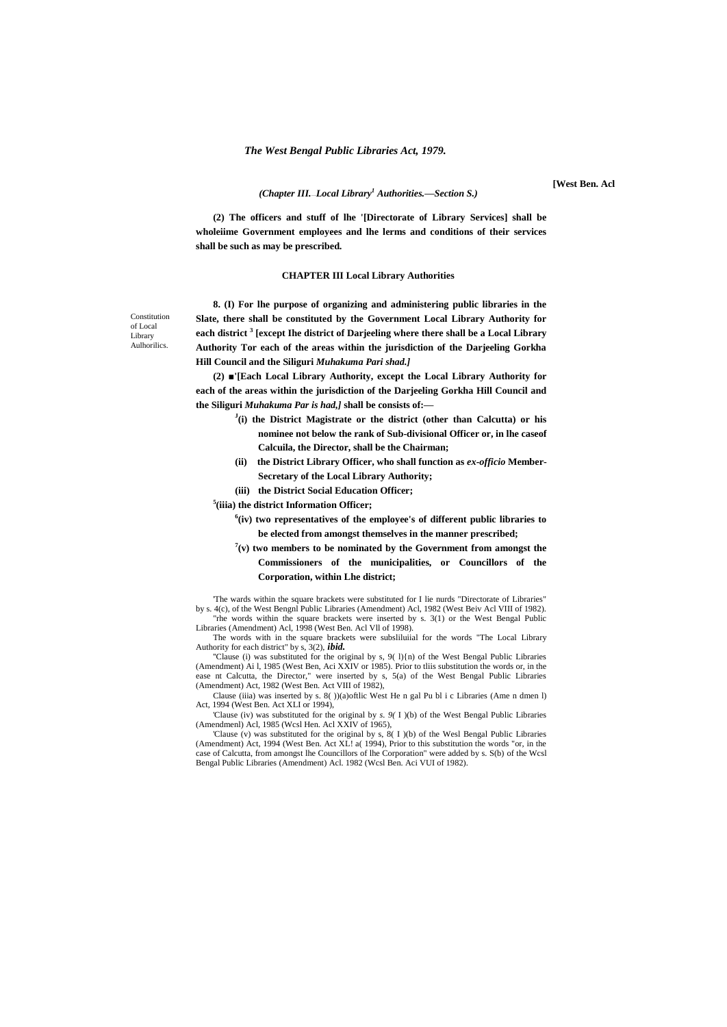**[West Ben. Acl**

## *(Chapter III.*—*Local Library<sup>1</sup> Authorities.—Section S.)*

**(2) The officers and stuff of lhe '[Directorate of Library Services] shall be wholeiime Government employees and lhe lerms and conditions of their services shall be such as may be prescribed.**

## **CHAPTER III Local Library Authorities**

Constitution of Local Library **Aulhorilics** 

**8. (I) For lhe purpose of organizing and administering public libraries in the Slate, there shall be constituted by the Government Local Library Authority for each district <sup>3</sup> [except Ihe district of Darjeeling where there shall be a Local Library Authority Tor each of the areas within the jurisdiction of the Darjeeling Gorkha Hill Council and the Siliguri** *Muhakuma Pari shad.]*

**(2) ■'[Each Local Library Authority, except the Local Library Authority for each of the areas within the jurisdiction of the Darjeeling Gorkha Hill Council and the Siliguri** *Muhakuma Par is had,]* **shall be consists of:—**

- **J (i) the District Magistrate or the district (other than Calcutta) or his nominee not below the rank of Sub-divisional Officer or, in lhe caseof Calcuila, the Director, shall be the Chairman;**
- **(ii) the District Library Officer, who shall function as** *ex-officio* **Member-Secretary of the Local Library Authority;**
- **(iii) the District Social Education Officer;**

**5 (iiia) the district Information Officer;**

- **6 (iv) two representatives of the employee's of different public libraries to be elected from amongst themselves in the manner prescribed;**
- $7(v)$  two members to be nominated by the Government from amongst the **Commissioners of the municipalities, or Councillors of the Corporation, within Lhe district;**

'The wards within the square brackets were substituted for I lie nurds "Directorate of Libraries" by s. 4(c), of the West Bengnl Public Libraries (Amendment) Acl, 1982 (West Beiv Acl VIII of 1982). "rhe words within the square brackets were inserted by s. 3(1) or the West Bengal Public Libraries (Amendment) Acl, 1998 (West Ben. Acl Vll of 1998).

The words with in the square brackets were subsliluiial for the words "The Local Library Authority for each district" by s, 3(2), *ibid.*

''Clause (i) was substituted for the original by s, 9( l){n) of the West Bengal Public Libraries (Amendment) Ai l, 1985 (West Ben, Aci XXIV or 1985). Prior to tliis substitution the words or, in the ease nt Calcutta, the Director," were inserted by s, 5(a) of the West Bengal Public Libraries (Amendment) Act, 1982 (West Ben. Act VIII of 1982),

Clause (iiia) was inserted by s. 8( ))(a)oftlic West He n gal Pu bl i c Libraries (Ame n dmen l) Act, 1994 (West Ben. Act XLI or 1994),

'Clause (iv) was substituted for the original by *s. 9(* I )(b) of the West Bengal Public Libraries (Amendmenl) Acl, 1985 (Wcsl Hen. Acl XXIV of 1965),

'Clause (v) was substituted for the original by s, 8( I )(b) of the Wesl Bengal Public Libraries (Amendment) Act, 1994 (West Ben. Act XL! a( 1994), Prior to this substitution the words "or, in the case of Calcutta, from amongst lhe Councillors of lhe Corporation" were added by s. S(b) of the Wcsl Bengal Public Libraries (Amendment) Acl. 1982 (Wcsl Ben. Aci VUI of 1982).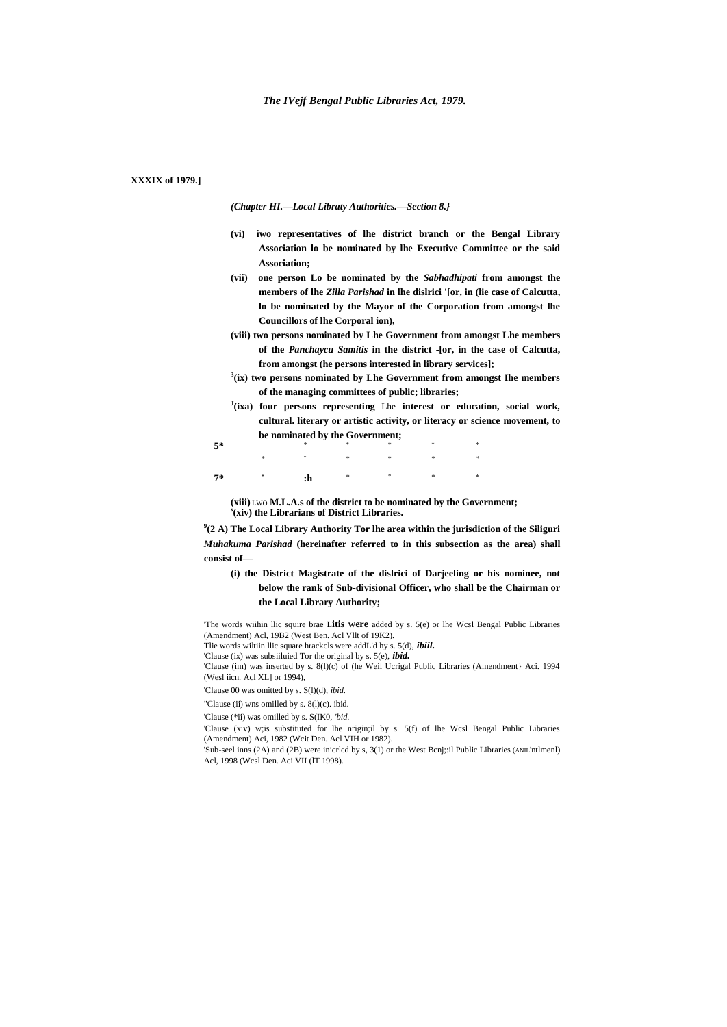# **XXXIX of 1979.]**

*(Chapter HI.—Local Libraty Authorities.—Section 8.}*

- **(vi) iwo representatives of lhe district branch or the Bengal Library Association lo be nominated by lhe Executive Committee or the said Association;**
- **(vii) one person Lo be nominated by the** *Sabhadhipati* **from amongst the members of lhe** *Zilla Parishad* **in lhe dislrici '[or, in (lie case of Calcutta, lo be nominated by the Mayor of the Corporation from amongst lhe Councillors of lhe Corporal ion),**
- **(viii) two persons nominated by Lhe Government from amongst Lhe members of the** *Panchaycu Samitis* **in the district -[or, in the case of Calcutta, from amongst (he persons interested in library services];**
- **3 (ix) two persons nominated by Lhe Government from amongst Ihe members of the managing committees of public; libraries;**
- **J (ixa) four persons representing** Lhe **interest or education, social work, cultural. literary or artistic activity, or literacy or science movement, to be nominated by the Government;**

| $5*$                                                                                                                                          |  |  |  |
|-----------------------------------------------------------------------------------------------------------------------------------------------|--|--|--|
|                                                                                                                                               |  |  |  |
| $7* \qquad \qquad \ast \qquad \qquad \text{:} \qquad \qquad \ast \qquad \qquad \ast \qquad \qquad \ast \qquad \qquad \ast \qquad \qquad \ast$ |  |  |  |

**(xiii)** LWO **M.L.A.s of the district to be nominated by the Government; s (xiv) the Librarians of District Libraries.**

**9 (2 A) The Local Library Authority Tor lhe area within the jurisdiction of the Siliguri** *Muhakuma Parishad* **(hereinafter referred to in this subsection as the area) shall consist of—**

**(i) the District Magistrate of the dislrici of Darjeeling or his nominee, not below the rank of Sub-divisional Officer, who shall be the Chairman or the Local Library Authority;**

'The words wiihin llic squire brae L**itis were** added by s. 5(e) or lhe Wcsl Bengal Public Libraries (Amendment) Acl, 19B2 (West Ben. Acl Vllt of 19K2).

Tlie words wiltiin llic square hrackcls were addL'd hy s. 5(d), *ibiil.* 'Clause (ix) was subsiiluied Tor the original by s. 5(e), *ibid.*

'Clause (im) was inserted by s. 8(l)(c) of (he Weil Ucrigal Public Libraries (Amendment} Aci. 1994 (Wesl iicn. Acl XL] or 1994),

'Clause 00 was omitted by s. S(l)(d), *ibid.*

"Clause (ii) wns omilled by s. 8(l)(c). ibid.

'Clause (\*ii) was omilled by s. S(IK0, *'bid.*

'Clause (xiv) w;is substituted for lhe nrigin;il by s. 5(f) of lhe Wcsl Bengal Public Libraries (Amendment) Aci, 1982 (Wcit Den. Acl VIH or 1982).

'Sub-seel inns (2A) and (2B) were inicrlcd by s, 3(1) or the West Bcnj;:il Public Libraries (ANIL'ntlmenl) Acl, 1998 (Wcsl Den. Aci VII (lT 1998).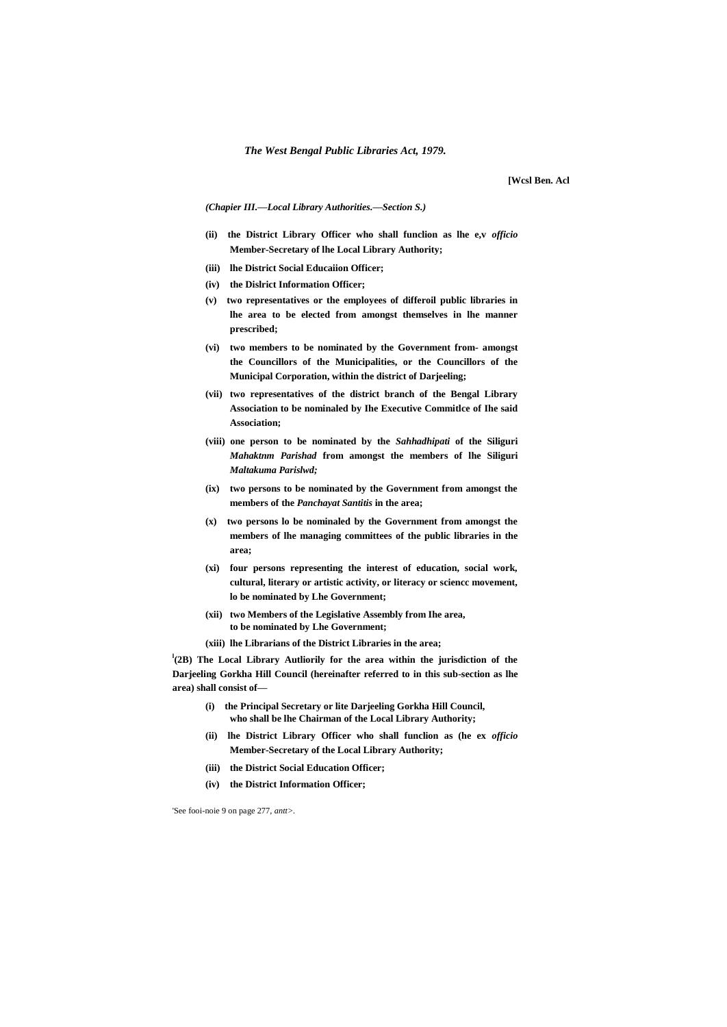**[Wcsl Ben. Acl**

*(Chapier III.—Local Library Authorities.—Section S.)*

- **(ii) the District Library Officer who shall funclion as lhe e,v** *officio* **Member-Secretary of lhe Local Library Authority;**
- **(iii) lhe District Social Educaiion Officer;**
- **(iv) the Dislrict Information Officer;**
- **(v) two representatives or the employees of differoil public libraries in lhe area to be elected from amongst themselves in lhe manner prescribed;**
- **(vi) two members to be nominated by the Government from- amongst the Councillors of the Municipalities, or the Councillors of the Municipal Corporation, within the district of Darjeeling;**
- **(vii) two representatives of the district branch of the Bengal Library Association to be nominaled by Ihe Executive Commitlce of Ihe said Association;**
- **(viii) one person to be nominated by the** *Sahhadhipati* **of the Siliguri** *Mahaktnm Parishad* **from amongst the members of lhe Siliguri** *Maltakuma Parislwd;*
- **(ix) two persons to be nominated by the Government from amongst the members of the** *Panchayat Santitis* **in the area;**
- **(x) two persons lo be nominaled by the Government from amongst the members of lhe managing committees of the public libraries in the area;**
- **(xi) four persons representing the interest of education, social work, cultural, literary or artistic activity, or literacy or sciencc movement, lo be nominated by Lhe Government;**
- **(xii) two Members of the Legislative Assembly from Ihe area, to be nominated by Lhe Government;**
- **(xiii) lhe Librarians of the District Libraries in the area;**

**l (2B) The Local Library Autliorily for the area within the jurisdiction of the Darjeeling Gorkha Hill Council (hereinafter referred to in this sub-section as lhe area) shall consist of—**

- **(i) the Principal Secretary or lite Darjeeling Gorkha Hill Council, who shall be lhe Chairman of the Local Library Authority;**
- **(ii) lhe District Library Officer who shall funclion as (he ex** *officio* **Member-Secretary of the Local Library Authority;**
- **(iii) the District Social Education Officer;**
- **(iv) the District Information Officer;**

'See fooi-noie 9 on page 277, *antt>.*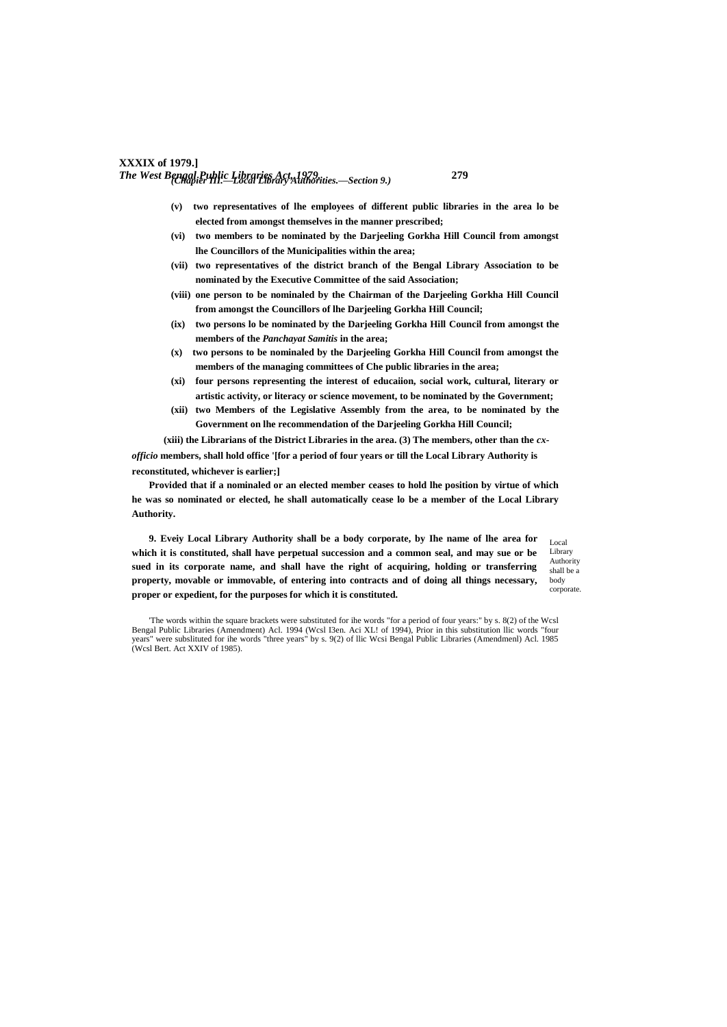# **XXXIX of 1979.]** *The West Bengal Public Libraries Act, 1979.* **279** *(Chapier III.—Local Library Authorities.—Section 9.)*

- **(v) two representatives of lhe employees of different public libraries in the area lo be elected from amongst themselves in the manner prescribed;**
- **(vi) two members to be nominated by the Darjeeling Gorkha Hill Council from amongst lhe Councillors of the Municipalities within the area;**
- **(vii) two representatives of the district branch of the Bengal Library Association to be nominated by the Executive Committee of the said Association;**
- **(viii) one person to be nominaled by the Chairman of the Darjeeling Gorkha Hill Council from amongst the Councillors of lhe Darjeeling Gorkha Hill Council;**
- **(ix) two persons lo be nominated by the Darjeeling Gorkha Hill Council from amongst the members of the** *Panchayat Samitis* **in the area;**
- **(x) two persons to be nominaled by the Darjeeling Gorkha Hill Council from amongst the members of the managing committees of Che public libraries in the area;**
- **(xi) four persons representing the interest of educaiion, social work, cultural, literary or artistic activity, or literacy or science movement, to be nominated by the Government;**
- **(xii) two Members of the Legislative Assembly from the area, to be nominated by the Government on lhe recommendation of the Darjeeling Gorkha Hill Council;**

**(xiii) the Librarians of the District Libraries in the area. (3) The members, other than the** *cxofficio* **members, shall hold office '[for a period of four years or till the Local Library Authority is reconstituted, whichever is earlier;]**

**Provided that if a nominaled or an elected member ceases to hold lhe position by virtue of which he was so nominated or elected, he shall automatically cease lo be a member of the Local Library Authority.**

**9. Eveiy Local Library Authority shall be a body corporate, by Ihe name of lhe area for which it is constituted, shall have perpetual succession and a common seal, and may sue or be sued in its corporate name, and shall have the right of acquiring, holding or transferring property, movable or immovable, of entering into contracts and of doing all things necessary, proper or expedient, for the purposes for which it is constituted.**

Local Library Authority shall be a body corporate.

'The words within the square brackets were substituted for ihe words "for a period of four years:" by s. 8(2) of the Wcsl Bengal Public Libraries (Amendment) Acl. 1994 (Wcsl I3en. Aci XL! of 1994), Prior in this substitution llic words "four ears" were subslituted for ihe words "three years" by s. 9(2) of llic Wcsi Bengal Public Libraries (Amendmenl) Acl. 1985 years" were substituted to the v<br>(Wcsl Bert. Act XXIV of 1985).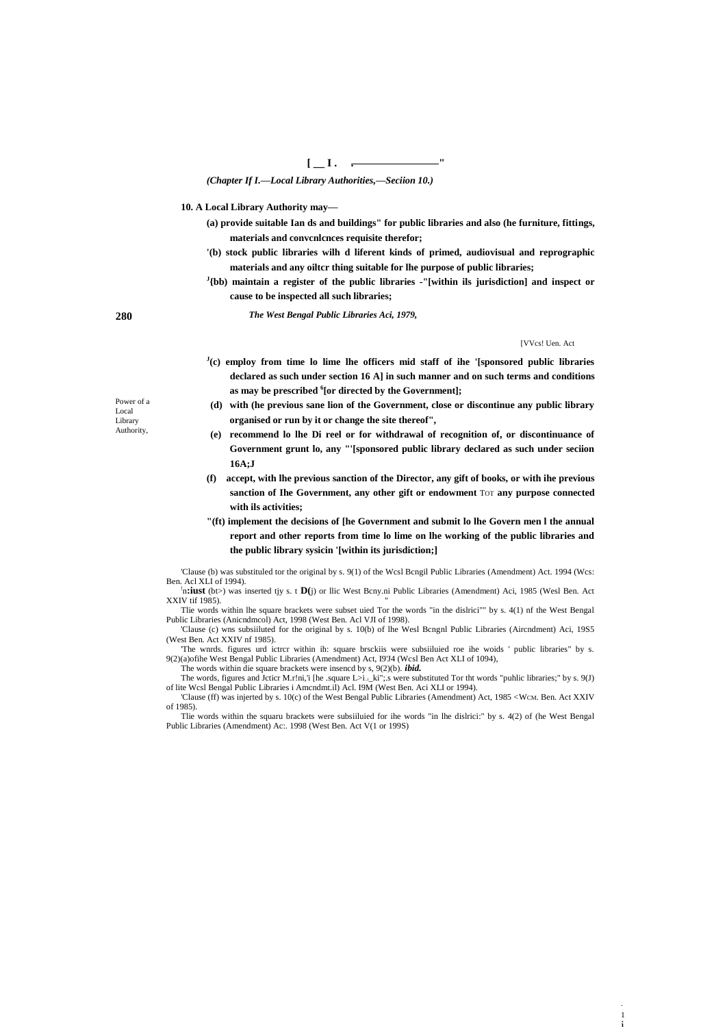$[-1, -]$ 

(Chapter If I.-Local Library Authorities,-Seciion 10.)

10. A Local Library Authority may-

- (a) provide suitable Ian ds and buildings" for public libraries and also (he furniture, fittings, materials and convenlences requisite therefor;
- '(b) stock public libraries wilh d liferent kinds of primed, audiovisual and reprographic materials and any oilter thing suitable for lhe purpose of public libraries;
- $J_{\{bb}}$  (bb) maintain a register of the public libraries -"[within ils jurisdiction] and inspect or cause to be inspected all such libraries;

The West Bengal Public Libraries Aci, 1979,

[VVcs! Uen. Act

- $J(c)$  employ from time lo lime lhe officers mid staff of ihe '[sponsored public libraries declared as such under section 16 A] in such manner and on such terms and conditions as may be prescribed <sup>6</sup>[or directed by the Government];
- (d) with (he previous sane lion of the Government, close or discontinue any public library organised or run by it or change the site thereof",
- (e) recommend lo lhe Di reel or for withdrawal of recognition of, or discontinuance of Government grunt lo, any "'[sponsored public library declared as such under seciion  $16A:$
- $(f)$ accept, with lhe previous sanction of the Director, any gift of books, or with ihe previous sanction of Ihe Government, any other gift or endowment TOT any purpose connected with ils activities;
- "(ft) implement the decisions of [he Government and submit lo lhe Govern men I the annual report and other reports from time lo lime on lhe working of the public libraries and the public library sysicin '[within its jurisdiction;]

'Clause (b) was substituled tor the original by s. 9(1) of the Wcsl Bcngil Public Libraries (Amendment) Act. 1994 (Wcs: Ben. Acl XLI of 1994).

'n:iust (bt>) was inserted tjy s. t D(j) or Ilic West Bcny.ni Public Libraries (Amendment) Aci, 1985 (Wesl Ben. Act XXIV tif 1985).

Tlie words within lhe square brackets were subset uied Tor the words "in the dislrici"" by s. 4(1) nf the West Bengal Public Libraries (Anicndmeol) Act, 1998 (West Ben. Acl VJI of 1998).

'Clause (c) wns subsiiluted for the original by s. 10(b) of lhe Wesl Bengnl Public Libraries (Aircndment) Aci, 19S5 (West Ben. Act XXIV nf 1985).

The wnrds. figures urd ictrcr within ih: square brsckiis were subsiiluied roe ihe woids ' public libraries" by s. 9(2)(a)ofihe West Bengal Public Libraries (Amendment) Act, I9'J4 (Wcsl Ben Act XLI of 1094), The words within die square brackets were insencd by  $s$ ,  $9(2)(b)$ . *ibid.* 

The words, figures and Jcticr M.r!ni, i [he .square  $L > i_{\perp}$  ki"; s were substituted Tor tht words "puhlic libraries;" by s. 9(J) of lite Wcsl Bengal Public Libraries i Amendmt.il) Acl. I9M (West Ben. Aci XLI or 1994).

'Clause (ff) was injerted by s. 10(c) of the West Bengal Public Libraries (Amendment) Act, 1985 < WCM. Ben. Act XXIV  $of 1985$ 

Tlie words within the squaru brackets were subsiiluied for ihe words "in lhe dislrici:" by s. 4(2) of (he West Bengal Public Libraries (Amendment) Ac: 1998 (West Ben. Act V(1 or 199S)

Power of a Local Library Authority,

280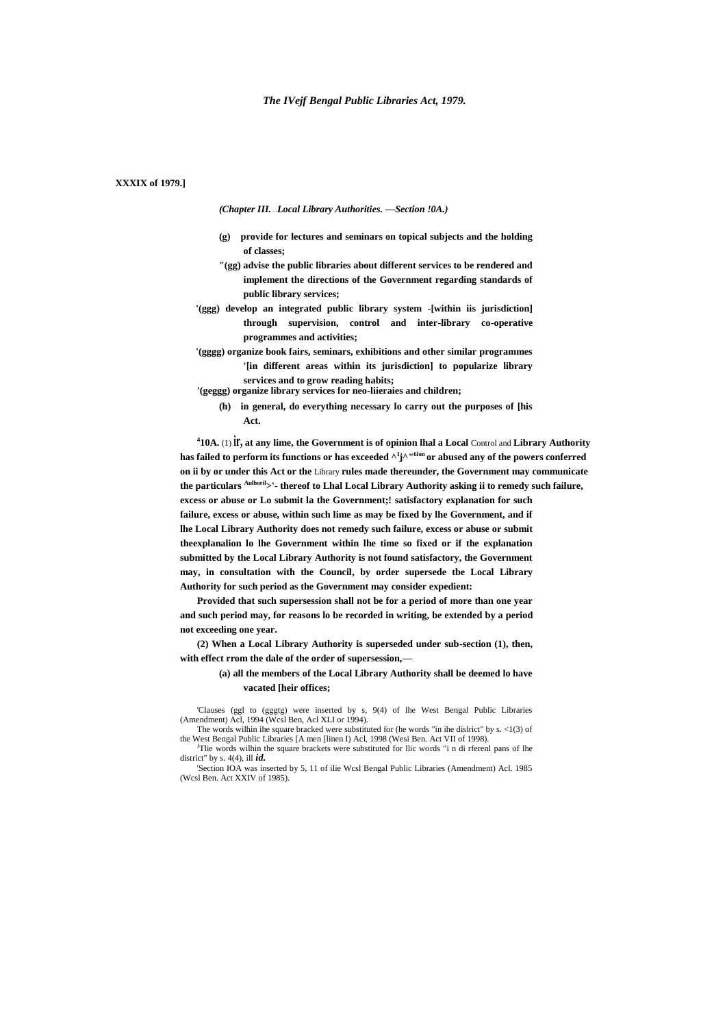# **XXXIX of 1979.]**

*(Chapter III.* —*Local Library Authorities. —Section !0A.)*

- **(g) provide for lectures and seminars on topical subjects and the holding of classes;**
- **"(gg) advise the public libraries about different services to be rendered and implement the directions of the Government regarding standards of public library services;**
- **'(ggg) develop an integrated public library system -[within iis jurisdiction] through supervision, control and inter-library co-operative programmes and activities;**
- **'(gggg) organize book fairs, seminars, exhibitions and other similar programmes '[in different areas within its jurisdiction] to popularize library services and to grow reading habits;**
- **'(geggg) organize library services for neo-liieraies and children;**
	- **(h) in general, do everything necessary lo carry out the purposes of [his Act.**

**4 10A.** (1) **ir, at any lime, the Government is of opinion lhal a Local** Control and **Library Authority has failed to perform its functions or has exceeded ^<sup>I</sup> j^"6lon or abused any of the powers conferred on ii by or under this Act or the** Library **rules made thereunder, the Government may communicate the particulars Aulhoril>'- thereof to Lhal Local Library Authority asking ii to remedy such failure, excess or abuse or Lo submit la the Government;! satisfactory explanation for such failure, excess or abuse, within such lime as may be fixed by lhe Government, and if lhe Local Library Authority does not remedy such failure, excess or abuse or submit theexplanalion lo lhe Government within lhe time so fixed or if the explanation submitted by the Local Library Authority is not found satisfactory, the Government may, in consultation with the Council, by order supersede tbe Local Library Authority for such period as the Government may consider expedient:**

**Provided that such supersession shall not be for a period of more than one year and such period may, for reasons lo be recorded in writing, be extended by a period not exceeding one year.**

**(2) When a Local Library Authority is superseded under sub-section (1), then, with effect rrom the dale of the order of supersession,—**

> **(a) all the members of the Local Library Authority shall be deemed lo have vacated [heir offices;**

'Clauses (ggl to (gggtg) were inserted by s, 9(4) of lhe West Bengal Public Libraries (Amendment) Acl, 1994 (Wcsl Ben, Acl XLI or 1994).

The words wilhin ihe square bracked were substituted for (he words "in ihe dislrict" by s. <1(3) of the West Bengal Public Libraries [A men [linen I) Acl, 1998 (Wesi Ben. Act VII of 1998). <sup>J</sup>Tlie words wilhin the square brackets were substituted for llic words "i n di rferenl pans of lhe

district" by s.  $4(4)$ , ill *id.* 'Section IOA was inserted by 5, 11 of ilie Wcsl Bengal Public Libraries (Amendment) Acl. 1985

<sup>(</sup>Wcsl Ben. Act XXIV of 1985).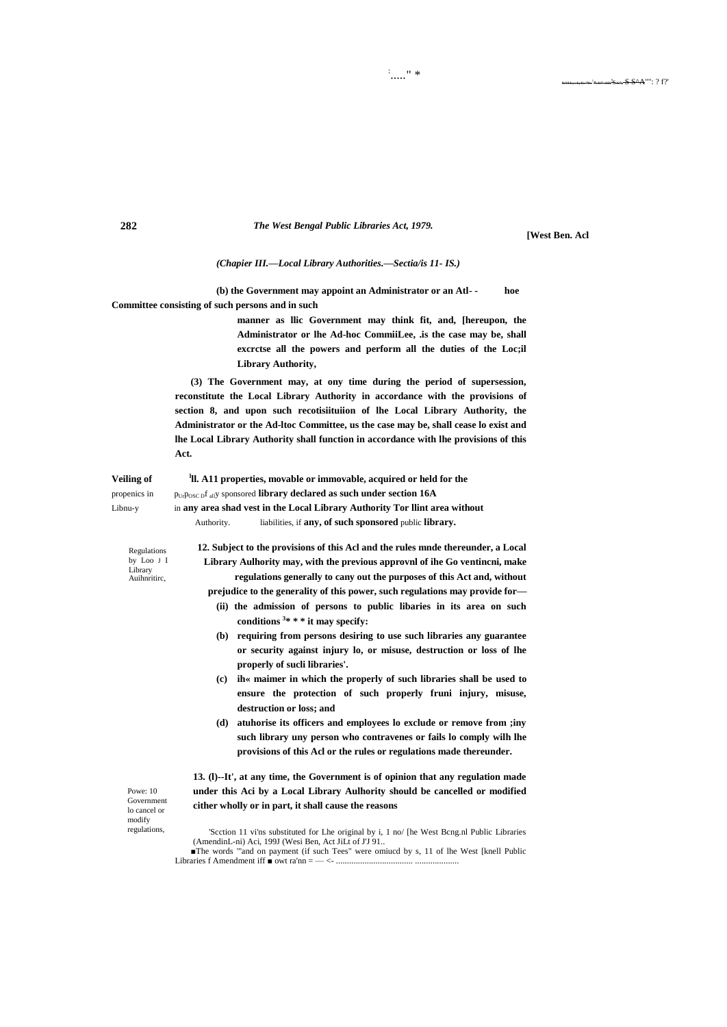

**[West Ben. Acl** 

### (Chapier III.-Local Library Authorities.-Sectia/is 11- IS.)

(b) the Government may appoint an Administrator or an Atl-hoe Committee consisting of such persons and in such

> manner as Ilic Government may think fit, and, [hereupon, the Administrator or lhe Ad-hoc CommiiLee, .is the case may be, shall excretse all the powers and perform all the duties of the Loc;il **Library Authority,**

(3) The Government may, at ony time during the period of supersession, reconstitute the Local Library Authority in accordance with the provisions of section 8, and upon such recotisiituiion of lhe Local Library Authority, the Administrator or the Ad-Itoc Committee, us the case may be, shall cease lo exist and lhe Local Library Authority shall function in accordance with lhe provisions of this Act.

**Veiling of** <sup>1</sup>ll. A11 properties, movable or immovable, acquired or held for the propenics in PUrPOSC DI ally sponsored library declared as such under section 16A in any area shad vest in the Local Library Authority Tor Ilint area without Libnu-v Authority. liabilities, if any, of such sponsored public library.

Regulations by Loo J I Library Auihnritire,

12. Subject to the provisions of this Acl and the rules mnde thereunder, a Local Library Aulhority may, with the previous approvnl of ihe Go ventincni, make regulations generally to cany out the purposes of this Act and, without prejudice to the generality of this power, such regulations may provide for-

- (ii) the admission of persons to public libaries in its area on such conditions  $3* * *$  it may specify:
- (b) requiring from persons desiring to use such libraries any guarantee or security against injury lo, or misuse, destruction or loss of lhe properly of sucli libraries'.
- (c) ih« maimer in which the properly of such libraries shall be used to ensure the protection of such properly fruni injury, misuse, destruction or loss; and
- (d) atuhorise its officers and employees lo exclude or remove from ;iny such library uny person who contravenes or fails lo comply wilh lhe provisions of this Acl or the rules or regulations made thereunder.

Powe: 10 Government lo cancel or modify regulations.

13. (I)--It', at any time, the Government is of opinion that any regulation made under this Aci by a Local Library Aulhority should be cancelled or modified cither wholly or in part, it shall cause the reasons

'Scction 11 vi'ns substituted for Lhe original by i, 1 no/ [he West Bcng.nl Public Libraries (AmendinL-ni) Aci, 199J (Wesi Ben, Act JiLt of J'J 91... The words "'and on payment (if such Tees" were omiucd by s, 11 of lhe West [knell Public Libraries f Amendment iff  $\bullet$  owt ra'nn =

282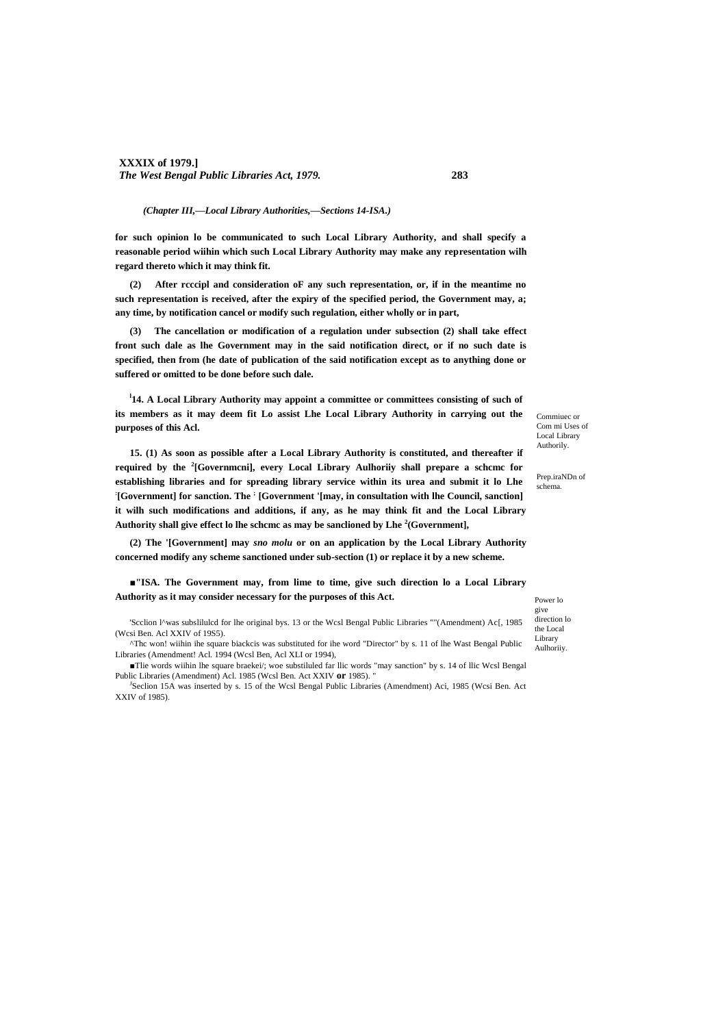### *(Chapter III,—Local Library Authorities,—Sections 14-ISA.)*

**for such opinion lo be communicated to such Local Library Authority, and shall specify a reasonable period wiihin which such Local Library Authority may make any representation wilh regard thereto which it may think fit.**

**(2) After rcccipl and consideration oF any such representation, or, if in the meantime no such representation is received, after the expiry of the specified period, the Government may, a; any time, by notification cancel or modify such regulation, either wholly or in part,**

**(3) The cancellation or modification of a regulation under subsection (2) shall take effect front such dale as lhe Government may in the said notification direct, or if no such date is specified, then from (he date of publication of the said notification except as to anything done or suffered or omitted to be done before such dale.**

<sup>1</sup>14. A Local Library Authority may appoint a committee or committees consisting of such of **its members as it may deem fit Lo assist Lhe Local Library Authority in carrying out the purposes of this Acl.**

**15. (1) As soon as possible after a Local Library Authority is constituted, and thereafter if required by the <sup>2</sup> [Governmcni], every Local Library Aulhoriiy shall prepare a schcmc for establishing libraries and for spreading library service within its urea and submit it lo Lhe : [Government] for sanction. The ; [Government '[may, in consultation with lhe Council, sanction] it wilh such modifications and additions, if any, as he may think fit and the Local Library Authority shall give effect lo lhe schcmc as may be sanclioned by Lhe <sup>2</sup> (Government],**

**(2) The '[Government] may** *sno molu* **or on an application by the Local Library Authority concerned modify any scheme sanctioned under sub-section (1) or replace it by a new scheme.**

**■"ISA. The Government may, from lime to time, give such direction lo a Local Library Authority as it may consider necessary for the purposes of this Act.**

'Scclion l^was subslilulcd for lhe original bys. 13 or the Wcsl Bengal Public Libraries ""(Amendment) Ac[, 1985 (Wcsi Ben. Acl XXIV of 19S5).

^Thc won! wiihin ihe square biackcis was substituted for ihe word "Director" by s. 11 of lhe Wast Bengal Public Libraries (Amendment! Acl. 1994 (Wcsl Ben, Acl XLI or 1994),

■Tlie words wiihin lhe square braekei/; woe substiluled far llic words "may sanction" by s. 14 of llic Wcsl Bengal Public Libraries (Amendment) Acl. 1985 (Wcsl Ben. Act XXIV **or** 1985). "

J Seclion 15A was inserted by s. 15 of the Wcsl Bengal Public Libraries (Amendment) Aci, 1985 (Wcsi Ben. Act XXIV of 1985).

Commiuec or Com mi Uses of Local Library Authorily.

Prep.iraNDn of schema.

Power lo give direction lo the Local Library Aulhoriiy.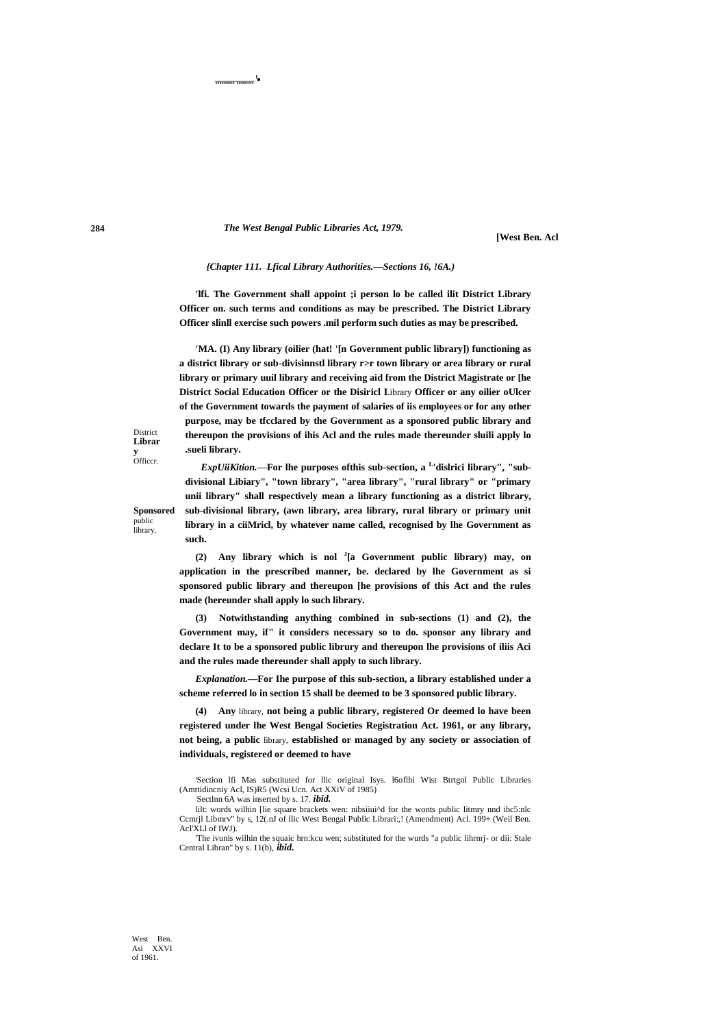...................'•

**[West Ben. Acl**

### *{Chapter 111.*—*Lfical Library Authorities.—Sections 16, !6A.)*

**'lfi. The Government shall appoint ;i person lo be called ilit District Library Officer on. such terms and conditions as may be prescribed. The District Library Officer slinll exercise such powers .mil perform such duties as may be prescribed.**

**'MA. (I) Any library (oilier (hat! '[n Government public library]) functioning as a district library or sub-divisinnstl library r>r town library or area library or rural library or primary uuil library and receiving aid from the District Magistrate or [he District Social Education Officer or the Disiricl I**.ibrary **Officer or any oilier oUlcer of the Government towards the payment of salaries of iis employees or for any other purpose, may be tfcclared by the Government as a sponsored public library and thereupon the provisions of ihis Acl and the rules made thereunder sluili apply lo .sueli library.**

*ExpUiiKition.***—For lhe purposes ofthis sub-section, a <sup>L</sup> 'dislrici library", "subdivisional Libiary", "town library", "area library", "rural library" or "primary unii library" shall respectively mean a library functioning as a district library, sub-divisional library, (awn library, area library, rural library or primary unit library in a ciiMricl, by whatever name called, recognised by lhe Government as such.**

District **Librar y**  Officcr.

**Sponsored** public library.

> **(2) Any library which is nol <sup>J</sup> [a Government public library) may, on application in the prescribed manner, be. declared by lhe Government as si sponsored public library and thereupon [he provisions of this Act and the rules made (hereunder shall apply lo such library.**

> **(3) Notwithstanding anything combined in sub-sections (1) and (2), the Government may, if" it considers necessary so to do. sponsor any library and declare It to be a sponsored public librury and thereupon lhe provisions of iliis Aci and the rules made thereunder shall apply to such library.**

> *Explanation.***—For Ihe purpose of this sub-section, a library established under a scheme referred lo in section 15 shall be deemed to be 3 sponsored public library.**

> **(4) Any** library, **not being a public library, registered Or deemed lo have been registered under lhe West Bengal Societies Registration Act. 1961, or any library, not being, a public** library, **established or managed by any society or association of individuals, registered or deemed to have**

> 'Section lfi Mas substituted for llic original Isys. l6oflhi Wist Btrtgnl Public Libraries (Amttidincniy Acl, IS)R5 (Wcsi Ucn. Act XXiV of 1985)

: Sectlnn 6A was inserted by s. 17. *ibid.*

lilt: words wilhin [lie square brackets wen: nibsiiui<sup> $\lambda$ </sup>d for the wonts public litmry nnd ihc5:nlc Ccmrjl Libmrv'' by s, 12(.nJ of llic West Bengal Public Librari:,! (Amendment) Acl. 199+ (Weil Ben. Acl'XLl of IWJ).

'The ivunis wilhin the squaic hrn:kcu wen; substituted for the wurds "a public lihrnrj- or dii: Stale Central Libran" by s. 11(b), *ibid.*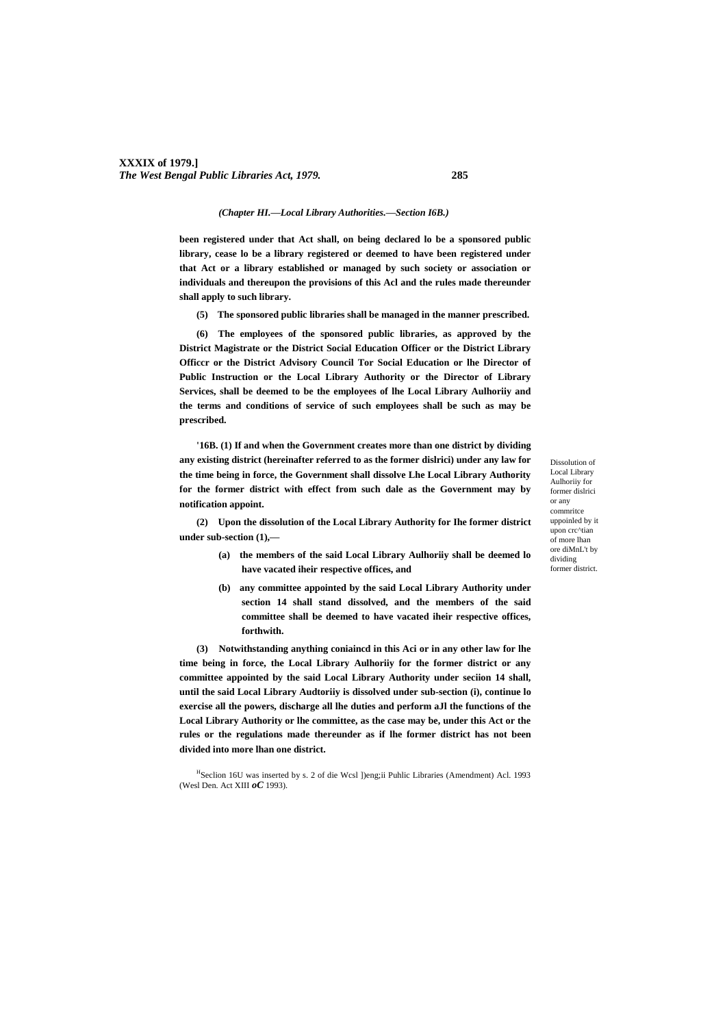### *(Chapter HI.—Local Library Authorities.—Section I6B.)*

**been registered under that Act shall, on being declared lo be a sponsored public library, cease lo be a library registered or deemed to have been registered under that Act or a library established or managed by such society or association or individuals and thereupon the provisions of this Acl and the rules made thereunder shall apply to such library.**

**(5) The sponsored public libraries shall be managed in the manner prescribed.**

**(6) The employees of the sponsored public libraries, as approved by the District Magistrate or the District Social Education Officer or the District Library Officcr or the District Advisory Council Tor Social Education or lhe Director of Public Instruction or the Local Library Authority or the Director of Library Services, shall be deemed to be the employees of lhe Local Library Aulhoriiy and the terms and conditions of service of such employees shall be such as may be prescribed.**

**'16B. (1) If and when the Government creates more than one district by dividing any existing district (hereinafter referred to as the former dislrici) under any law for the time being in force, the Government shall dissolve Lhe Local Library Authority for the former district with effect from such dale as the Government may by notification appoint.**

**(2) Upon the dissolution of the Local Library Authority for Ihe former district under sub-section (1),—**

- **(a) the members of the said Local Library Aulhoriiy shall be deemed lo have vacated iheir respective offices, and**
- **(b) any committee appointed by the said Local Library Authority under section 14 shall stand dissolved, and the members of the said committee shall be deemed to have vacated iheir respective offices, forthwith.**

**(3) Notwithstanding anything coniaincd in this Aci or in any other law for lhe time being in force, the Local Library Aulhoriiy for the former district or any committee appointed by the said Local Library Authority under seciion 14 shall, until the said Local Library Audtoriiy is dissolved under sub-section (i), continue lo exercise all the powers, discharge all lhe duties and perform aJl the functions of the Local Library Authority or lhe committee, as the case may be, under this Act or the rules or the regulations made thereunder as if lhe former district has not been divided into more lhan one district.**

Dissolution of Local Library Aulhoriiy for former dislrici or any commritce uppoinled by it upon crc^tian of more lhan ore diMnL't by dividing former district.

<sup>&</sup>lt;sup>H</sup>Seclion 16U was inserted by s. 2 of die Wcsl ])eng;ii Puhlic Libraries (Amendment) Acl. 1993 (Wesl Den. Act XIII *oC* 1993).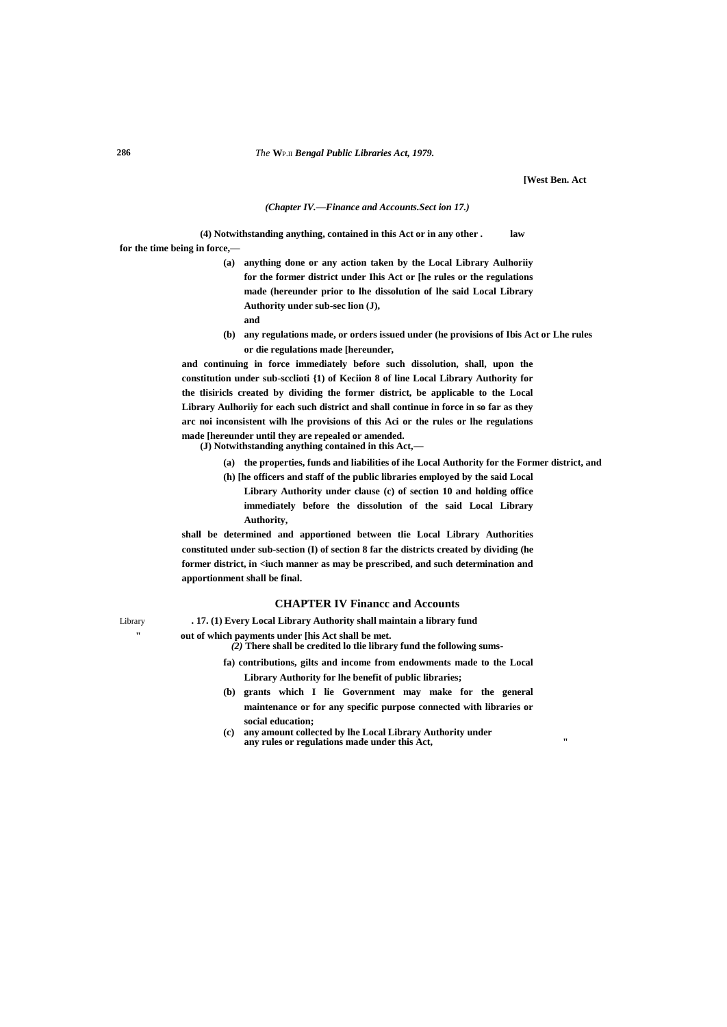**[West Ben. Act**

### *(Chapter IV.—Finance and Accounts.Sect ion 17.)*

**(4) Notwithstanding anything, contained in this Act or in any other . law for the time being in force,—**

> **(a) anything done or any action taken by the Local Library Aulhoriiy for the former district under Ihis Act or [he rules or the regulations made (hereunder prior to lhe dissolution of lhe said Local Library Authority under sub-sec lion (J),**

- **and**
- **(b) any regulations made, or orders issued under (he provisions of Ibis Act or Lhe rules or die regulations made [hereunder,**

**and continuing in force immediately before such dissolution, shall, upon the constitution under sub-scclioti {1) of Keciion 8 of line Local Library Authority for the tlisiricls created by dividing the former district, be applicable to the Local Library Aulhoriiy for each such district and shall continue in force in so far as they arc noi inconsistent wilh lhe provisions of this Aci or the rules or lhe regulations made [hereunder until they are repealed or amended.**

**(J) Notwithstanding anything contained in this Act,—**

**" out of which payments under [his Act shall be met.**

**(a) the properties, funds and liabilities of ihe Local Authority for the Former district, and**

**(h) [he officers and staff of the public libraries employed by the said Local Library Authority under clause (c) of section 10 and holding office** 

**immediately before the dissolution of the said Local Library Authority,**

**shall be determined and apportioned between tlie Local Library Authorities constituted under sub-section (I) of section 8 far the districts created by dividing (he**  former district, in <iuch manner as may be prescribed, and such determination and **apportionment shall be final.**

### **CHAPTER IV Financc and Accounts**

Library **. 17. (1) Every Local Library Authority shall maintain a library fund**

*(2)* **There shall be credited lo tlie library fund the following sums-**

- **fa) contributions, gilts and income from endowments made to the Local Library Authority for lhe benefit of public libraries;**
- **(b) grants which I lie Government may make for the general maintenance or for any specific purpose connected with libraries or social education;**
- **(c) any amount collected by lhe Local Library Authority under any rules or regulations made under this Act, "**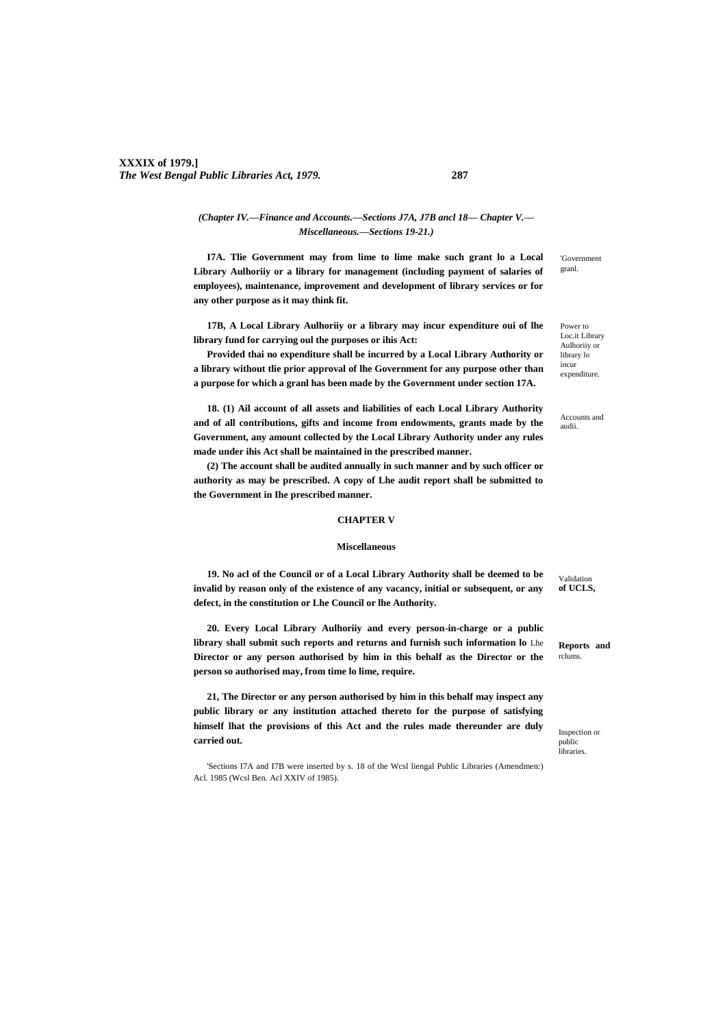# **XXXIX of 1979.]** *The West Bengal Public Libraries Act, 1979.* **287**

# *(Chapter IV.—Finance and Accounts.—Sections J7A, J7B ancl 18— Chapter V.— Miscellaneous.—Sections 19-21.)*

**I7A. Tlie Government may from lime to lime make such grant lo a Local Library Aulhoriiy or a library for management (including payment of salaries of employees), maintenance, improvement and development of library services or for any other purpose as it may think fit.**

**17B, A Local Library Aulhoriiy or a library may incur expenditure oui of lhe library fund for carrying oul the purposes or ihis Act:**

**Provided thai no expenditure shall be incurred by a Local Library Authority or a library without tlie prior approval of lhe Government for any purpose other than a purpose for which a granl has been made by the Government under section 17A.**

**18. (1) Ail account of all assets and liabilities of each Local Library Authority and of all contributions, gifts and income from endowments, grants made by the Government, any amount collected by the Local Library Authority under any rules made under ihis Act shall be maintained in the prescribed manner.**

**(2) The account shall be audited annually in such manner and by such officer or authority as may be prescribed. A copy of Lhe audit report shall be submitted to the Government in Ihe prescribed manner.**

### **CHAPTER V**

### **Miscellaneous**

**19. No acl of the Council or of a Local Library Authority shall be deemed to be invalid by reason only of the existence of any vacancy, initial or subsequent, or any defect, in the constitution or Lhe Council or lhe Authority.**

**20. Every Local Library Aulhoriiy and every person-in-charge or a public library shall submit such reports and returns and furnish such information lo** Lhe **Director or any person authorised by him in this behalf as the Director or the person so authorised may, from time lo lime, require.**

**21, The Director or any person authorised by him in this behalf may inspect any public library or any institution attached thereto for the purpose of satisfying himself lhat the provisions of this Act and the rules made thereunder are duly carried out.**

'Sections I7A and I7B were inserted by s. 18 of the Wcsl liengal Public Libraries (Amendmen:) Acl. 1985 (Wcsl Ben. Acl XXIV of 1985).

'Government granl.

Power to Loc.it Library Aulhoriiy or library lo incur expenditure.

Accounts and audii.

**Reports and** 

rclums.

Validation **of UCLS,**

Inspection or public libraries.